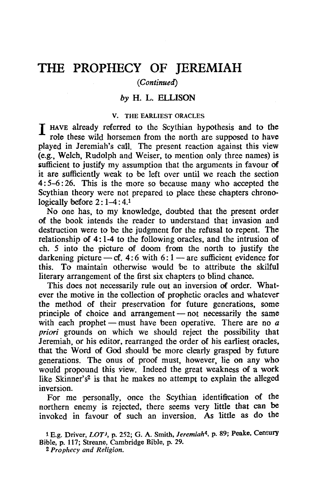# THE PROPHECY OF JEREMIAH

# *(Continued)*

# *by* H. L. ELLISON

#### V. THE EARLIEST ORACLES

I HAVE already referred to the Scythian hypothesis and to the role these wild horsemen from the north are supposed to have played in Jeremiah's call. The present reaction against this view (e.g., Welch, Rudolph and Weiser, to mention only three names) is sufficient to justify my assumption that the arguments in favour of it are sufficiently weak to be left over until we reach the section 4: 5-6 : 26. This is the more so 'because many who accepted the Scythian theory were not prepared to place these chapters chronologically before  $2: 1-4: 4.1$ 

No one has, to my knowledge, doubted that the present order of the book intends the reader to understand that invasion and destruction were to be the judgment for the refusal to repent. The relationship of 4: 1-4 to the following orades, and the intrusion of ch. 5 into the picture of doom from the north to justify the darkening picture  $-$  cf. 4:6 with 6:1 - are sufficient evidence for this. To maintain otherwise would 'be to attrihute the skilful literary arrangement of the first six chapters to blind chance.

This does not necessarily rule out an inversion of order. Whatever the motive in the collection of prophetic oracles and whatever the method of their preservation for future generations, some principle of choice and arrangement  $-$  not necessarily the same with each prophet - must have been operative. There are no  $a$ priori grounds on which we should reject the possibility that Jeremiah, or his editor, rearranged the order of his earliest oracles, that the Word of God should be more clearly grasped by future generations. The onus of proof must, however, lie on any who would propound this view. Indeed the great weakness of a work like Skinner's<sup>2</sup> is that he makes no attempt to explain the alleged inversion.

For me personally, once the Scythian identification of the northern enemy is rejected, there seems very little that can be invoked in favour of such an inversion. As 1ittle as do the

1 E.g. Driver, *LOT),* p. 252; G. A. Smith, *Jeremiah4,* p. 89; Peake, Century Bible, p. 117; Streane, Cambridge Bible, p. 29.

<sup>2</sup> *Prophecy and Religion.*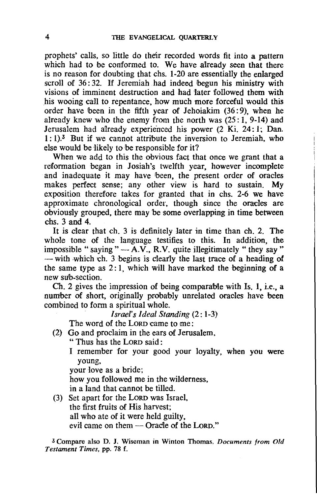prophets' calls, so little do their recorded words fit into a pattern which had to be conformed to. We have already seen that there is no reason for doubting that chs. 1-20 are essentially the enlarged scroll of  $36:32$ . If Jeremiah had indeed begun his ministry with visions of imminent destruction and had 'later followed them with his wooing call to repentance, how much more forceful would this order have been in the fifth year of Jehoiakim (36: 9), when he already knew who the enemy from the north was  $(25: 1, 9-14)$  and Jerusalem had already experienced his power (2 Ki. 24: 1; Dan.  $1: 1$ .<sup>3</sup> But if we cannot attribute the inversion to Jeremiah, who else would be likely to be responsible for it?

When we add to this the obvious fact that once we grant that a reformation began in Josiah's twelfth year, however incomplete and inadequate it may have been, the present order of oracles makes perfect sense; any other view is hard to sustain. My exposition therefore takes for granted that in chs. 2-6 we have approximate chronological order, though since the oracles are obviously grouped, there may be some overlapping in time between chs. 3 and 4.

It is Clear that ch. 3 is definitely later in time than ch. 2. The whole tone of the language testifies to this. In addition, the impossible "saying " $-\overline{A.V.}$ , R.V. quite illegitimately "they say"  $-$  with which ch. 3 begins is clearly the last trace of a heading of the same type as  $2:1$ , which will have marked the beginning of a new sub-section.

Ch. 2 gives the impression of being comparable with Is. 1, i.e., a number of short, originally probably unrelated oracles have been combined to form a spiritual whole.

*Israel's Ideal Standing* (2: 1-3)

The word of the LORD came to me :

- (2) Go and proclaim in the ears of Jerusalem,
	- " Thus has the LORD said:
	- I remember for your good your loyalty, when you were young,

your love as a bride;

how you followed me in the wilderness,

in a land that cannot be tilled.

(3) Set apart for the LORD was Israel, the first fruits of His harvest; all who ate of it were held guilty, evil came on them - Oracle of the LORD."

3 Compare also D. J. Wiseman in Winton Thomas, *Documents from Old Testament Times,* pp. 78 f.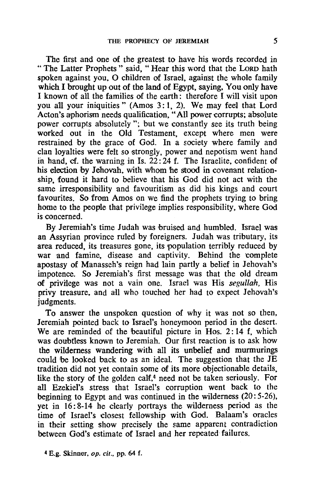The first and one of the greatest to have his words recorded in " The Latter Prophets" said, "Hear this word that the LORD hath spoken against you, O children of Israel, against the whole family which I brought up out of the land of Egypt, saying, You only have I known of all the families of the earth: therefore I will visit upon you all your iniquities" (Amos 3:1, 2). We may feel that Lord Acton's aphorism needs qualification, "All power corrupts; absolute power corrupts absolutely"; but we constantly see its truth being worked out in the Old Testament, except where men were restrained by the grace of God. In a society where family and clan loyalties were felt so strongly, power and nepotism went hand in hand, cf. the warning in Is.  $22:24$  f. The Israelite, confident of his election by lehovah, with whom 'he stood in covenant relationship, found it hard to believe that his God did not act with the same irresponsibility and favouritism as did his kings and court favourites. So from Amos on we find the prophets trying to bring home to the people that privilege implies responsibility, where God is concerned.

By Jeremiah's time Judah was bruised and humbled. Israel was an Assyrian province ruled by foreigners. Judah was tributary, its area reduced, its treasures gone, its population terribly reduced by war and famine, disease and captivity. Behind the complete apostasy of Manasseh's reign had lain partly a belief in Jehovah's impotence. So Jeremiah's first message was that the old dream of privilege was not a vain one. Israel was His *segullah,* His privy treasure, and all who touched her had to expect Jehovah's judgments.

To answer the unspoken question of why it was not so then, Jeremiah pointed back to Israel's honeymoon period in the desert. We are reminded of the beautiful picture in Hos. 2:14 f, which was doubtless known to Jeremiah. Our first reaction is to ask how the wilderness wandering with all its unbelief and murmurings could be looked back to as an ideal. The suggestion that the JE tradition did not yet contain some of its more objectionable details, like the story of the golden calf,<sup>4</sup> need not be taken seriously. For all Ezekiel's stress that Israel's corruption went back to the beginning to Egypt and was continued in the wilderness  $(20:5-26)$ , yet in 16: 8-14 he clearly portrays the wilderness period as the time of Israel's closest fellowship with God. Balaam's oracles in their setting show precisely the same apparent contradiction between God's estimate of Israel and her repeated failures.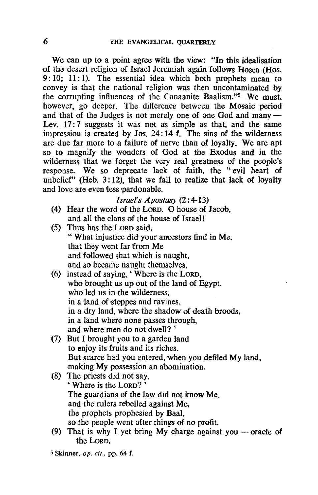We can up to a point agree with the view: "In this idealisation of the desert religion of Israel Jeremiah again follows Hosea (Hos. 9: 10; 11: 1). The essential idea which both prophets mean to convey is that the national religion was then uncontaminated by the corrupting influences of the Canaanite Baalism."5 We must, however, go deeper. The difference between the Mosaic period and that of the Judges is not merely one of one God and  $\text{many}-$ Lev. 17:7 suggests it was not as simple as that, and the same impression is created by Jos.  $24:14$  f. The sins of the wilderness are due far more to a failure of nerve than of loyalty. We are apt so to magnify the wonders of God at the Exodus and in the wilderness that we forget the very real greatness of the people's response. We so deprecate lack of faith, the "evil heart of unbelief" (Heb.  $3:12$ ), that we fail to realize that lack of loyalty and love are even less pardonable.

*Israel's Apostasy* (2: 4-13)

- (4) Hear the word of the LORD. 0 house of Jacob, and all the clans of the house of Israel!
- (5) Thus has the LORD said, " What injustice did your ancestors find in Me, that they went far from Me and followed that which is naught, and so became naught themselves,
- (6) instead of saying, 'Where is the LORD, who brought us up out of the land of Egypt, who led us in the wilderness. in a land of steppes and ravines, in a dry land, where the shadow of death broods, in a land where none passes through, and where men do not dwell? '
- (7) But I brought you to a garden fand to enjoy its fruits and its riches. But scarce had you entered, when you defiled My land. making My possession an abomination.
- (8) The priests did not say, , Where is the LORD? ' The guardians of the law did not know Me. and the rulers rebelled against Me, the prophets prophesied by Baal, so the people went after things of no profit.
- (9) That is why I yet bring My charge against you oracle of the LORD,
- $5$  Skinner, *op. cit.*, pp. 64 f.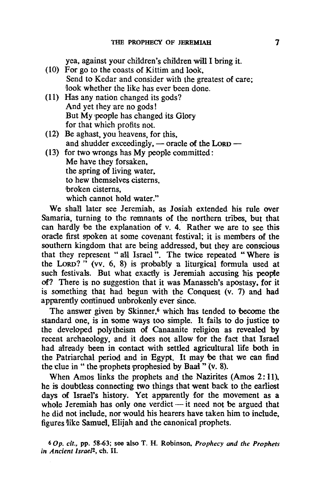yea, against your children's children will I bring it.

- (10) For go to the coasts of Kittim and look, Send to Kedar and consider with the greatest of care; look whether the like has ever been done.
- (11) Has any nation changed its gods? And yet they are no gods! But My people has changed its Glory for that which profits not.
- (12) Be aghast, you heavens, for this, and shudder exceedingly, - oracle of the LORD -

(13) for two wrongs has My people committed: Me have they forsaken, the spring of living water, to hew themselves cisterns. broken cisterns, which cannot hold water."

We shall later see Jeremiah, as Josiah extended his rule over Samaria, turning to the remnants of the northern tribes, but that can hardly be the explanation of v. 4. Rather we are to see this oracle first spoken at some covenant festival; it is members of the southern kingdom that are being addressed, but they are conscious that they represent "all Israel". The twice repeated "Where is the LORD?" (vv.  $6, 8$ ) is probably a liturgical formula used at such festivals. But what exactly is Jeremiah accusing his people of? There is no suggestion that it was Manasseh's apostasy. for it is something that had begun with the Conquest (v. 7) and had apparently continued unbrokenly ever since.

The answer given by Skinner,<sup>6</sup> which has tended to become the standard one, is in some ways too simple. It fails to do justice to the developed polytheism of Canaanite religion as revealed by recent archaeology, and it does not allow for the fact that Israel had already 'been in contact with settled agricultural life both in the Patriarchal period and in Egypt. It may be that we can find the clue in " the prophets prophesied by Baal" (v. 8).

When Amos links the prophets and the Nazirites (Amos 2: 11). he is doubtless connecting two things that went back to the earliest days of Israel's history. Yet apparently for the movement as a whole Jeremiah has only one verdict  $-$  it need not be argued that he did not include. nor would his hearers have taken him to include, figures like Samuel. Elijah and the canonical prophets.

*60p. cit.,* pp. 58-63; see also T. H. Robinson, *Prophecy and the Prophets in Ancient Israel<sup>2</sup>, ch. II.*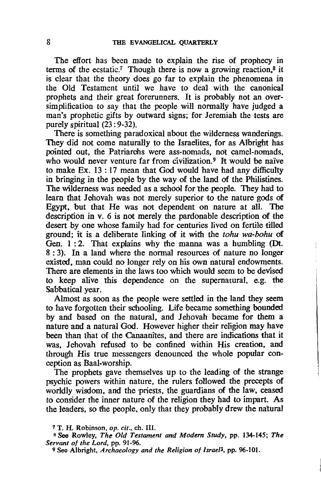The effort has been made to explain the rise of prophecy in terms of the ecstatic.<sup>7</sup> Though there is now a growing reaction.<sup>8</sup> it is clear that the theory does go far to explain the phenomena in the Old Testament until we have to deal with the canonical prophets and their great forerunners. It is probably not an oversimplification to say that the people will normally have judged a man's prophetic gifts by outward signs; for Jeremiah the tests are purely spiritual  $(23:9-32)$ .

There is something paradoxical about the wilderness wanderings. They did not come naturally to the Israelites, for as Albright has pointed out. the Patriarchs were ass-nomads, not camel-nomads, who would never venture far from civilization.<sup>9</sup> It would be naive to make Ex. 13 : 17 mean that God would have bad any difficulty in bringing in the people by the way of the land of the Philistines. The Wilderness was needed as a school for the people. They had to learn that Jehovah was not merely superior to the nature gods of Egypt. but that He was not dependent on nature at all. The description in  $v$ . 6 is not merely the pardonable description of the desert by one whose family had for centuries lived on fertile tilled ground; it is a deliberate linking of it with the *tohu wa-bohu* of Gen. 1: 2. That explains why rhe manna was a humbling (Dt. 8 : 3). In a land where the normal resources of nature no longer existed, man could no longer rely on his own natural endowments. There are elements in the laws too which would seem to be devised to keep alive this dependence on the supernatural, e.g. the Sabbatical year.

Almost as soon as the people were settled in the land they seem to have forgotten their schooling. Life became something bounded by and based on the natural, and Jehovah became for them a nature and a natural God. However higher their religion may have been than that of the Canaanites. and there are indications that it was. Jehovah refused to be confined within His creation, and through His true messengers denounced the whole popular conception as Baal-worship.

The prophets gave themselves up to the leading of the strange psychic powers within nature. the rulers fol1owed the precepts of worldly wisdom, and the priests, the guardians of the law, ceased to consider the inner nature of the religion they had to impart. As the leaders. so the people, only that they probably drew the natural

<sup>7</sup> T. H. Robinson, op. cif., ch. Ill.

<sup>8</sup> See Rowley, *The Old Testament and Modern Study,* pp. 134-145; *The Servant of the Lord,* pp. 91-96.

<sup>9</sup> See Albright, *Archaeology and the Religion of Israel3,* pp. 96-101.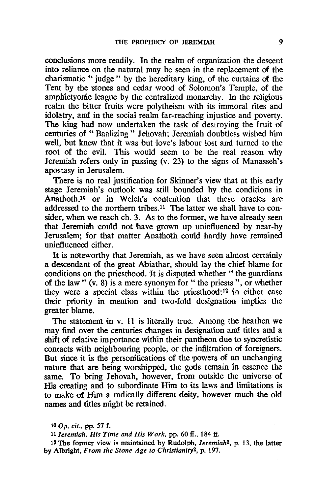conclusions more readily. In the realm of organization the descent into reliance on the natural may be seen in the replacement of the charismatic " judge" by the hereditary king, of the curtains of the Tent by the stones and cedar wood of Solomon's Temple, of the amphictyonic league by the centralized monarchy. In the religious realm the bitter fruits were polytheism with its immoral rites and idolatry, and in the social realm far-reaching injustice and poverty. The king had now undertaken the task of destroying the fruit of centuries of "Baalizing" Jehovah; Jeremiah doubtless wished him well, but knew that it was but love's labour lost and turned to the root of the evil. This would seem to be the real reason why Jeremiah refers only in passing (v. 23) to the signs of Manasseh's apostasy in Jerusalem.

There is no real justification for Skinner's view that at this early stage Jeremiah's outlook was still bounded by the conditions in Anathoth,10 or in Welch's contention that these oracles are addressed to the northern tribes.<sup>11</sup> The latter we shall have to consider, when we reach ch. 3. As to the former, we have already seen that Jeremiah could not have grown up uninfluenced by near-by Jerusalem; for that matter Anathoth could hardly have remained uninfluenced either.

It is noteworthy that Jeremiah, as we have seen almost certainly a descendant of the great Abiathar, should lay the chief blame for conditions on the priesthood. It is disputed whether " the guardians of the law"  $(v, 8)$  is a mere synonym for "the priests", or whether they were a special class within the priesthood;12 in either case their priority in mention and two-fold designation implies the greater blame.

The statement in v. 11 is literally true. Among the heathen we may find over the centuries Changes in designation and titles and a shift of relative importance within their pantheon due to syncretistic contacts with neighbouring people, or the infiltration of foreigners. But since it is the persomfications of the powers of an unchanging nature that are being worshipped, the gods remain in essence the same. To bring Jehovah, however, from outside the universe of His creating and to subordinate Him to its laws and limitations is to make of Him a mdically different deity, however much the old names and titles m'ight be retained.

11 *Jeremiah. His Time and His Work.* pp. 60 If., 184 If.

12 The former view is maintained by Rudolph, *Jeremiah*<sup>2</sup>, p. 13, the latter by Albrignt, *From the Stone Age to Christianity2,* p. 197.

lOOp. *cit ..* pp. 57 f.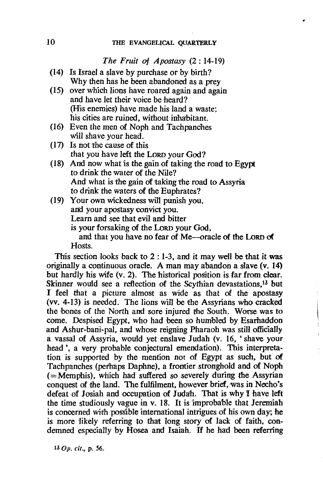### *The Fruit* of *Apostasy* (2: 14-19)

- (14) Is Israel a slave by purchase or by birth? Why then has he been abandoned as a prey
- (15) over wnich lions have roared again and again and have let their voice be heard? (His enemies) have made his land a waste; his cities are ruined, without inhabitant.
- (16) Even the men of Noph and Tachpanohes will shave your head.
- $(17)$  Is not the cause of this that you have left the LoRD your God?
- (18) And now what 'is the gain of taking the road to Egypt to drink the water of the Nile? And what is the gain of taking the road to Assyria to drink the waters of the Euphrates?
- (19) Your own wickedness wiU punish you, and your apostasy convict you. Learn and see that evil and bitter is your forsaking of the LoRD your God, and that you have no fear of Me-oracle of the Lorp of Hosts.

This section looks back to  $2:1-3$ , and it may well be that it was originally a continuous oracle. A man may abandon a slave (v. 14) but hardly his wife (v. 2). The historical position is far from clear. Skinner would see a reflection of the Scythian devastations,<sup>13</sup> but I feel that a picture almost as wide as that of the apostasy (vv. 4-13) is needed. The lions will be 'the Assyrians who cracked the bones of the North and sore injured the South. Worse was to come. Despised Egypt, who had been so humbled by Esarhaddon and Ashur-bani-pal, and whose reigning Pharaoh was still officially a vassal of Assyria, would yet enslave Judah (v. 16, 'shave your head ', a very probable conjectural emendation). This interpretation is supported by the mention not of Egypt as such, but of Tachpanches (perhaps Daphne), a frontier stronghold and of Noph  $($ = Memphis), which had suffered so severely during the Assyrian conquest of the land. The fulfilment, however brief, was in Necho's defeat of Josiah and occupation of Judah. That is why I have left the time studiously vague in v. 18. It is improbable that Jeremiah is concerned with possible 'international intrigues of his own day; he is more iikely referring to that long story of lack of faith. condemned especially by Hosea and Isaiah. If he had been referring

130p. cif., p. 56.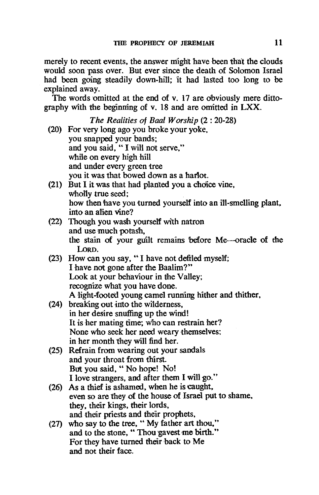merely to recent events, the answer might have been that the clouds would soon 'pass over. But ever since the death of Solomon Israel had been going steadily down-hill; it had lasted too long to be explained away.

The words omitted at the end of v. 17 are obviously mere dittography with the beginning of v. 18 and are omitted in  $LXX$ .

|      | The Realities of Baal Worship (2:20-28)                       |
|------|---------------------------------------------------------------|
|      | (20) For very long ago you broke your yoke,                   |
|      | you snapped your bands;                                       |
|      | and you said, "I will not serve,"                             |
|      | while on every high hill                                      |
|      | and under every green tree                                    |
|      | you it was that bowed down as a harlot.                       |
|      | (21) But I it was that had planted you a choice vine,         |
|      | wholly true seed;                                             |
|      | how then have you turned yourself into an ill-smelling plant, |
|      | into an alien vine?                                           |
|      | (22) Though you wash yourself with natron                     |
|      | and use much potash,                                          |
|      | the stain of your guilt remains before Me-oracle of the       |
|      | LORD.                                                         |
|      | (23) How can you say, "I have not defiled myself;             |
|      | I have not gone after the Baalim?"                            |
|      | Look at your behaviour in the Valley;                         |
|      | recognize what you have done.                                 |
|      | A light-footed young camel running hither and thither,        |
| (24) | breaking out into the wilderness,                             |
|      | in her desire snuffing up the wind!                           |
|      | It is her mating time; who can restrain her?                  |
|      | None who seek her need weary themselves;                      |
|      | in her month they will find her.                              |
| (25) | Refrain from wearing out your sandals                         |
|      | and your throat from thirst.                                  |
|      | But you said, "No hope! No!                                   |
|      | I love strangers, and after them I will go."                  |
| (26) | As a thief is ashamed, when he is caught,                     |
|      | even so are they of the house of Israel put to shame,         |
|      | they, their kings, their lords,                               |
|      | and their priests and their prophets,                         |
| (27) | who say to the tree, "My father art thou,"                    |
|      | and to the stone, "Thou gavest me birth."                     |
|      | For they have turned their back to Me                         |
|      | and not their face.                                           |
|      |                                                               |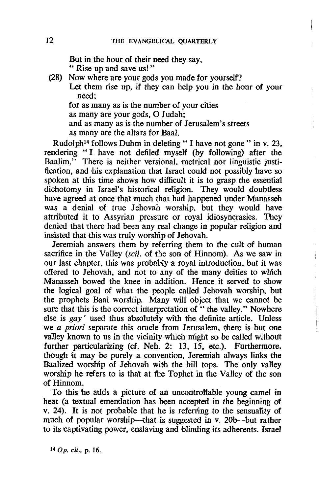But in the hour of their need they say. " Rise up and save us!"

(28) Now where are your gods you made for yourself? Let them rise up, if they can help you in the hour of your need; for as many as is the number of your cities

as many are your gods, O Judah; and as many as is the number of Jerusalem's streets as many are the altars for BaaI.

Rudolph<sup>14</sup> follows Duhm in deleting "I have not gone" in v. 23, rendering "I have not defiled myself (by following) after the Baalim." There is neither versional, metrical nor linguistic justification. and his explanation that Israel could not possibly have so spoken at this time shows how difficult it is to grasp the essential dichotomy in Israel's historical religion. They would doubtless have agreed at once that much that had happened under Manasseh was a denial of true Jehovah worship. but they would have attributed it to Assyrian pressure or royal idiosyncrasies. They denied that there had been any real change in popular religion and insisted that this was truly worship of Jehovah.

Jeremiah answers them by referring them to the cult of human sacrifice in the Valley *(scil.* of the son of Hinnom). As we saw in our last chapter. this was probably a royal introduction. but it was offered to Jehovah, and not to any of the many deities to which Manasseh bowed the knee in addition. Hence it served to show the logical goal of what the people called Jehovah worship. bu't the prophets Baal worship. Many will object that we cannot be sure that this is the correct interpretation of " the valley." Nowhere else is gay' used thus absolutely with the definite article. Unless we *a priori* separate this oracle from Jerusalem, there is but one valley known to us in the vicinity Which might so be called Without further particularizing (cf. Neh. 2: 13, 15, etc.). Furthermore, though it may be purely a convention. Jeremiah always links the Baalized worship of Jehovah with the hill tops. The only valley worship he refers to is that at the Tophet in the Valley of the son of Hinnom.

To this he adds a picture of an uncontrollable young camel in heat (a textual emendation has been accepted in the beginning of v. 24). It is not prObable that he is referring to the sensuality of much of popular worship--that is suggested in v. 20b-but rather to its captivating power, enslaving and blinding its adherents. Israel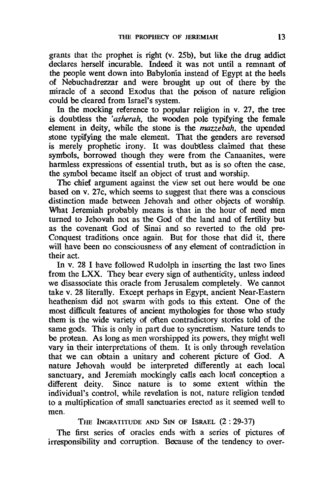grants that the prophet is right (v. 25b), but like the drug addict declares herself incurable. Indeed it was not until a remnant of the people went down into Babylonia instead of Egypt at the heels of Nebuchadrezzar and were brought up out of there by the miracle of a second Exodus that the poison of nature religion could be cleared from Israel's system.

In the mocking reference to popular religion in v.  $27$ , the tree is doubtless the *'asherah,* the wooden pole typifying the female element in deity, while the stone is the *mazzebah*, the upended stone typifying the male element. That the genders are reversed is merely prophetic irony. It was doubtless claimed that these symbdls, borrowed though they were from the Canaanites, were harmless expressions of essential truth, but as is so often the case. the symbol became itself an object of trust and worship.

The chief argument against the view set out here would be one based on v. 27c, which seems to suggest that rhere was a conscious distinction made between Jehovah and other objects of worship. What Jeremiah probably means is that in the hour of need men turned to Jehovah not as the God of the land and of fertility but as the covenant God of Sinai and so reverted to the old pre-Conquest traditions once again. But for those that did it, there will have been no consciousness of any element of contradiction in their act.

In v. 28 I have followed Rudolph in inserting the last two fines from the LXX. They bear every sign of authenticity, unless indeed we disassociate this oracle from Jerusalem completely. We cannot take v. 28 literally. Except perhaps in Egypt, ancient Near-Eastern heathenism did not swarm with gods to this extent. One of the most difficult features of ancient mythologies for those who study them is the wide variety of often contradictory stories told of the same gods. This is only in part due to syncretism. Nature tends to be protean. As long as men worshipped its powers, they might well vary in their interpretations of them. It is only through revelation that we can dbtain a unitary and coherent picture of God. A nature Jehovah would be interpreted differently at each local sanctuary, and Jeremiah mockingly calls each local conception a different deity. Since nature is to some extent within the individual's control, while revelation is not, nature religion tended to a multiplication of small sanctuaries erected as it seemed well to men.

THE INGRATITUDE AND SIN OF ISRAEL (2: 29-37)

The first series of oracles ends with a series of pictures of irresponsibility and corruption. Because of the tendency to over